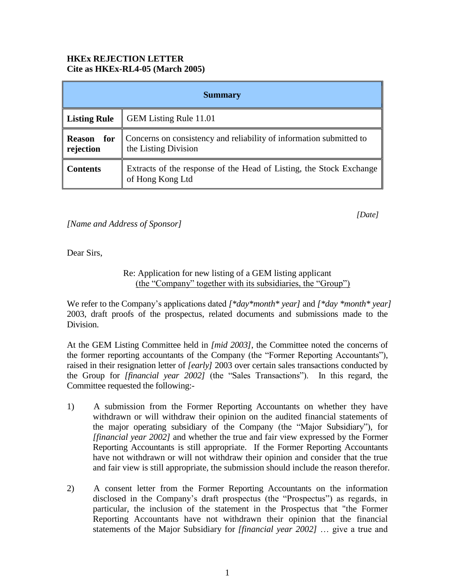## **HKEx REJECTION LETTER Cite as HKEx-RL4-05 (March 2005)**

| <b>Summary</b>                    |                                                                                             |
|-----------------------------------|---------------------------------------------------------------------------------------------|
| <b>Listing Rule</b>               | <b>GEM Listing Rule 11.01</b>                                                               |
| for<br><b>Reason</b><br>rejection | Concerns on consistency and reliability of information submitted to<br>the Listing Division |
| <b>Contents</b>                   | Extracts of the response of the Head of Listing, the Stock Exchange<br>of Hong Kong Ltd     |

*[Date]* 

*[Name and Address of Sponsor]*

Dear Sirs,

Re: Application for new listing of a GEM listing applicant (the "Company" together with its subsidiaries, the "Group")

We refer to the Company's applications dated *[\*day\*month\* year]* and *[\*day \*month\* year]* 2003, draft proofs of the prospectus, related documents and submissions made to the Division.

At the GEM Listing Committee held in *[mid 2003]*, the Committee noted the concerns of the former reporting accountants of the Company (the "Former Reporting Accountants"), raised in their resignation letter of *[early]* 2003 over certain sales transactions conducted by the Group for *[financial year 2002]* (the "Sales Transactions"). In this regard, the Committee requested the following:-

- 1) A submission from the Former Reporting Accountants on whether they have withdrawn or will withdraw their opinion on the audited financial statements of the major operating subsidiary of the Company (the "Major Subsidiary"), for *[financial year 2002]* and whether the true and fair view expressed by the Former Reporting Accountants is still appropriate. If the Former Reporting Accountants have not withdrawn or will not withdraw their opinion and consider that the true and fair view is still appropriate, the submission should include the reason therefor.
- 2) A consent letter from the Former Reporting Accountants on the information disclosed in the Company's draft prospectus (the "Prospectus") as regards, in particular, the inclusion of the statement in the Prospectus that "the Former Reporting Accountants have not withdrawn their opinion that the financial statements of the Major Subsidiary for *[financial year 2002]* … give a true and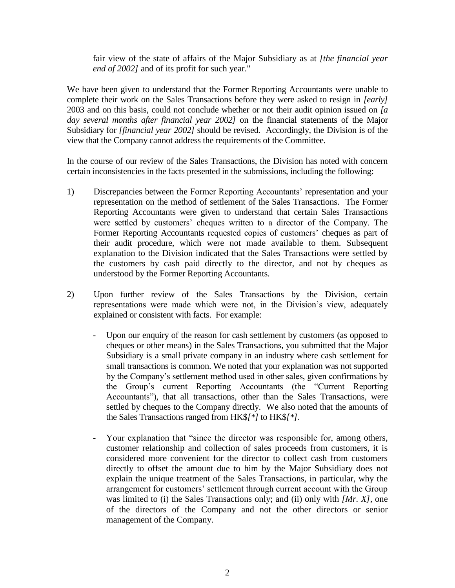fair view of the state of affairs of the Major Subsidiary as at *[the financial year end of 2002]* and of its profit for such year."

We have been given to understand that the Former Reporting Accountants were unable to complete their work on the Sales Transactions before they were asked to resign in *[early]* 2003 and on this basis, could not conclude whether or not their audit opinion issued on *[a day several months after financial year 2002]* on the financial statements of the Major Subsidiary for *[financial year 2002]* should be revised. Accordingly, the Division is of the view that the Company cannot address the requirements of the Committee.

In the course of our review of the Sales Transactions, the Division has noted with concern certain inconsistencies in the facts presented in the submissions, including the following:

- 1) Discrepancies between the Former Reporting Accountants' representation and your representation on the method of settlement of the Sales Transactions. The Former Reporting Accountants were given to understand that certain Sales Transactions were settled by customers' cheques written to a director of the Company. The Former Reporting Accountants requested copies of customers' cheques as part of their audit procedure, which were not made available to them. Subsequent explanation to the Division indicated that the Sales Transactions were settled by the customers by cash paid directly to the director, and not by cheques as understood by the Former Reporting Accountants.
- 2) Upon further review of the Sales Transactions by the Division, certain representations were made which were not, in the Division's view, adequately explained or consistent with facts. For example:
	- Upon our enquiry of the reason for cash settlement by customers (as opposed to cheques or other means) in the Sales Transactions, you submitted that the Major Subsidiary is a small private company in an industry where cash settlement for small transactions is common. We noted that your explanation was not supported by the Company's settlement method used in other sales, given confirmations by the Group's current Reporting Accountants (the "Current Reporting Accountants"), that all transactions, other than the Sales Transactions, were settled by cheques to the Company directly. We also noted that the amounts of the Sales Transactions ranged from HK\$*[\*]* to HK\$*[\*]*.
	- Your explanation that "since the director was responsible for, among others, customer relationship and collection of sales proceeds from customers, it is considered more convenient for the director to collect cash from customers directly to offset the amount due to him by the Major Subsidiary does not explain the unique treatment of the Sales Transactions, in particular, why the arrangement for customers' settlement through current account with the Group was limited to (i) the Sales Transactions only; and (ii) only with *[Mr. X]*, one of the directors of the Company and not the other directors or senior management of the Company.